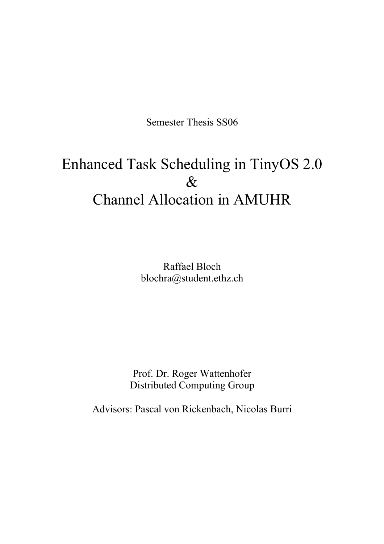Semester Thesis SS06

# Enhanced Task Scheduling in TinyOS 2.0 & Channel Allocation in AMUHR

Raffael Bloch blochra@student.ethz.ch

Prof. Dr. Roger Wattenhofer Distributed Computing Group

Advisors: Pascal von Rickenbach, Nicolas Burri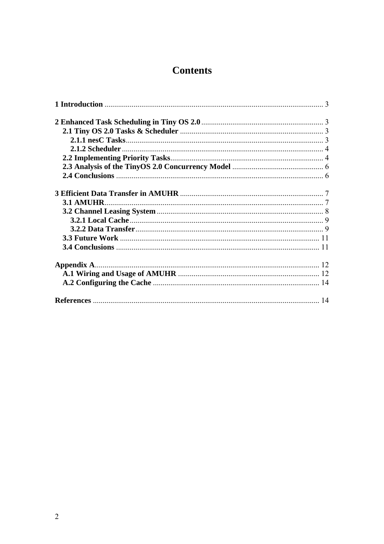## **Contents**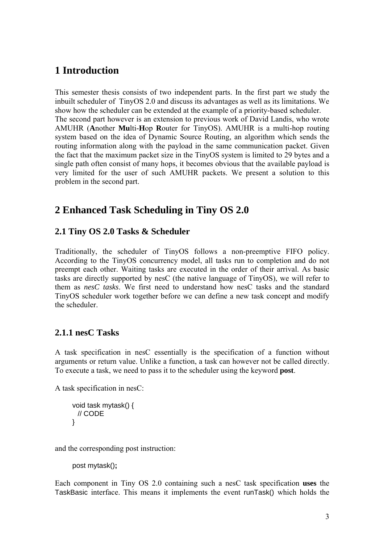### **1 Introduction**

This semester thesis consists of two independent parts. In the first part we study the inbuilt scheduler of TinyOS 2.0 and discuss its advantages as well as its limitations. We show how the scheduler can be extended at the example of a priority-based scheduler. The second part however is an extension to previous work of David Landis, who wrote AMUHR (**A**nother **Mu**lti-**H**op **R**outer for TinyOS). AMUHR is a multi-hop routing system based on the idea of Dynamic Source Routing, an algorithm which sends the routing information along with the payload in the same communication packet. Given the fact that the maximum packet size in the TinyOS system is limited to 29 bytes and a single path often consist of many hops, it becomes obvious that the available payload is very limited for the user of such AMUHR packets. We present a solution to this problem in the second part.

### **2 Enhanced Task Scheduling in Tiny OS 2.0**

#### **2.1 Tiny OS 2.0 Tasks & Scheduler**

Traditionally, the scheduler of TinyOS follows a non-preemptive FIFO policy. According to the TinyOS concurrency model, all tasks run to completion and do not preempt each other. Waiting tasks are executed in the order of their arrival. As basic tasks are directly supported by nesC (the native language of TinyOS), we will refer to them as *nesC tasks*. We first need to understand how nesC tasks and the standard TinyOS scheduler work together before we can define a new task concept and modify the scheduler.

### **2.1.1 nesC Tasks**

A task specification in nesC essentially is the specification of a function without arguments or return value. Unlike a function, a task can however not be called directly. To execute a task, we need to pass it to the scheduler using the keyword **post**.

A task specification in nesC:

```
void task mytask() { 
  // CODE 
}
```
and the corresponding post instruction:

post mytask()**;** 

Each component in Tiny OS 2.0 containing such a nesC task specification **uses** the TaskBasic interface. This means it implements the event runTask() which holds the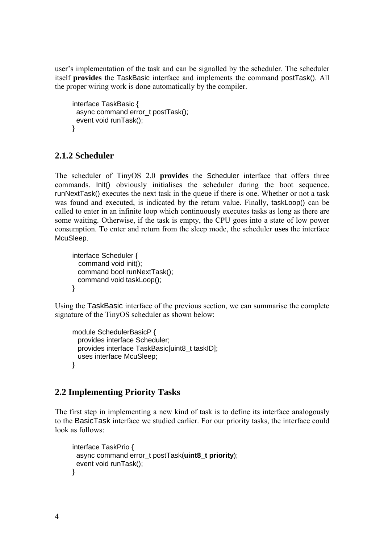user's implementation of the task and can be signalled by the scheduler. The scheduler itself **provides** the TaskBasic interface and implements the command postTask(). All the proper wiring work is done automatically by the compiler.

```
interface TaskBasic { 
 async command error_t postTask();
  event void runTask(); 
}
```
### **2.1.2 Scheduler**

The scheduler of TinyOS 2.0 **provides** the Scheduler interface that offers three commands. Init() obviously initialises the scheduler during the boot sequence. runNextTask() executes the next task in the queue if there is one. Whether or not a task was found and executed, is indicated by the return value. Finally, taskLoop() can be called to enter in an infinite loop which continuously executes tasks as long as there are some waiting. Otherwise, if the task is empty, the CPU goes into a state of low power consumption. To enter and return from the sleep mode, the scheduler **uses** the interface McuSleep.

```
interface Scheduler { 
   command void init(); 
  command bool runNextTask(); 
  command void taskLoop(); 
}
```
Using the TaskBasic interface of the previous section, we can summarise the complete signature of the TinyOS scheduler as shown below:

```
module SchedulerBasicP { 
  provides interface Scheduler; 
  provides interface TaskBasic[uint8_t taskID]; 
  uses interface McuSleep; 
}
```
### **2.2 Implementing Priority Tasks**

The first step in implementing a new kind of task is to define its interface analogously to the BasicTask interface we studied earlier. For our priority tasks, the interface could look as follows:

```
interface TaskPrio { 
  async command error_t postTask(uint8_t priority); 
  event void runTask(); 
}
```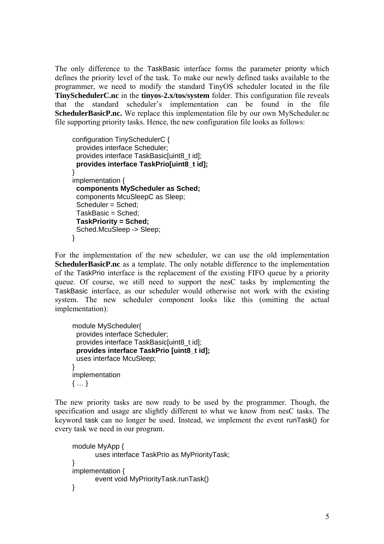The only difference to the TaskBasic interface forms the parameter priority which defines the priority level of the task. To make our newly defined tasks available to the programmer, we need to modify the standard TinyOS scheduler located in the file **TinySchedulerC.nc** in the **tinyos-2.x/tos/system** folder. This configuration file reveals that the standard scheduler's implementation can be found in the file **SchedulerBasicP.nc.** We replace this implementation file by our own MyScheduler.nc file supporting priority tasks. Hence, the new configuration file looks as follows:

```
configuration TinySchedulerC { 
  provides interface Scheduler; 
 provides interface TaskBasic[uint8_t id];
  provides interface TaskPrio[uint8_t id]; 
} 
implementation { 
  components MyScheduler as Sched; 
  components McuSleepC as Sleep; 
  Scheduler = Sched; 
  TaskBasic = Sched; 
  TaskPriority = Sched; 
  Sched.McuSleep -> Sleep; 
}
```
For the implementation of the new scheduler, we can use the old implementation **SchedulerBasicP.nc** as a template. The only notable difference to the implementation of the TaskPrio interface is the replacement of the existing FIFO queue by a priority queue. Of course, we still need to support the nesC tasks by implementing the TaskBasic interface, as our scheduler would otherwise not work with the existing system. The new scheduler component looks like this (omitting the actual implementation):

```
module MyScheduler{ 
  provides interface Scheduler; 
 provides interface TaskBasic[uint8_t id];
  provides interface TaskPrio [uint8_t id]; 
  uses interface McuSleep; 
} 
implementation 
{ … }
```
The new priority tasks are now ready to be used by the programmer. Though, the specification and usage are slightly different to what we know from nesC tasks. The keyword task can no longer be used. Instead, we implement the event runTask() for every task we need in our program.

```
module MyApp { 
       uses interface TaskPrio as MyPriorityTask; 
} 
implementation { 
       event void MyPriorityTask.runTask() 
}
```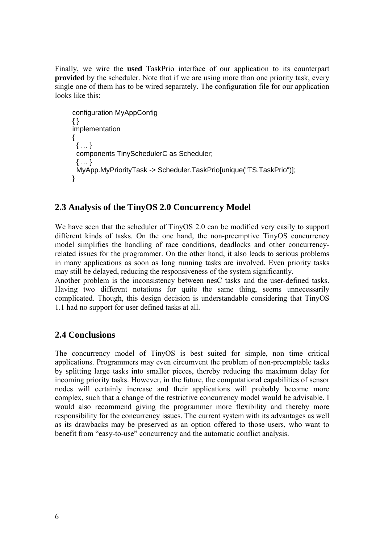Finally, we wire the **used** TaskPrio interface of our application to its counterpart **provided** by the scheduler. Note that if we are using more than one priority task, every single one of them has to be wired separately. The configuration file for our application looks like this:

```
configuration MyAppConfig 
{ } 
implementation 
{ 
  { … } 
  components TinySchedulerC as Scheduler; 
  { … } 
  MyApp.MyPriorityTask -> Scheduler.TaskPrio[unique("TS.TaskPrio")]; 
}
```
#### **2.3 Analysis of the TinyOS 2.0 Concurrency Model**

We have seen that the scheduler of TinyOS 2.0 can be modified very easily to support different kinds of tasks. On the one hand, the non-preemptive TinyOS concurrency model simplifies the handling of race conditions, deadlocks and other concurrencyrelated issues for the programmer. On the other hand, it also leads to serious problems in many applications as soon as long running tasks are involved. Even priority tasks may still be delayed, reducing the responsiveness of the system significantly.

Another problem is the inconsistency between nesC tasks and the user-defined tasks. Having two different notations for quite the same thing, seems unnecessarily complicated. Though, this design decision is understandable considering that TinyOS 1.1 had no support for user defined tasks at all.

#### **2.4 Conclusions**

The concurrency model of TinyOS is best suited for simple, non time critical applications. Programmers may even circumvent the problem of non-preemptable tasks by splitting large tasks into smaller pieces, thereby reducing the maximum delay for incoming priority tasks. However, in the future, the computational capabilities of sensor nodes will certainly increase and their applications will probably become more complex, such that a change of the restrictive concurrency model would be advisable. I would also recommend giving the programmer more flexibility and thereby more responsibility for the concurrency issues. The current system with its advantages as well as its drawbacks may be preserved as an option offered to those users, who want to benefit from "easy-to-use" concurrency and the automatic conflict analysis.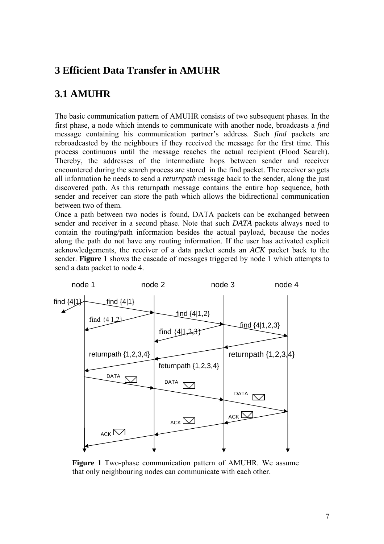### **3 Efficient Data Transfer in AMUHR**

### **3.1 AMUHR**

The basic communication pattern of AMUHR consists of two subsequent phases. In the first phase, a node which intends to communicate with another node, broadcasts a *find* message containing his communication partner's address. Such *find* packets are rebroadcasted by the neighbours if they received the message for the first time. This process continuous until the message reaches the actual recipient (Flood Search). Thereby, the addresses of the intermediate hops between sender and receiver encountered during the search process are stored in the find packet. The receiver so gets all information he needs to send a *returnpath* message back to the sender, along the just discovered path. As this returnpath message contains the entire hop sequence, both sender and receiver can store the path which allows the bidirectional communication between two of them.

Once a path between two nodes is found, DATA packets can be exchanged between sender and receiver in a second phase. Note that such *DATA* packets always need to contain the routing/path information besides the actual payload, because the nodes along the path do not have any routing information. If the user has activated explicit acknowledgements, the receiver of a data packet sends an *ACK* packet back to the sender. **Figure 1** shows the cascade of messages triggered by node 1 which attempts to send a data packet to node 4.



**Figure 1** Two-phase communication pattern of AMUHR. We assume that only neighbouring nodes can communicate with each other.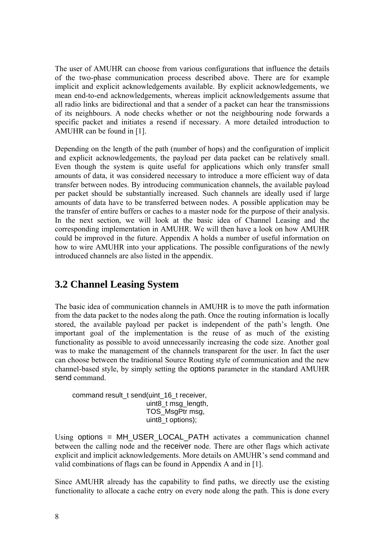The user of AMUHR can choose from various configurations that influence the details of the two-phase communication process described above. There are for example implicit and explicit acknowledgements available. By explicit acknowledgements, we mean end-to-end acknowledgements, whereas implicit acknowledgements assume that all radio links are bidirectional and that a sender of a packet can hear the transmissions of its neighbours. A node checks whether or not the neighbouring node forwards a specific packet and initiates a resend if necessary. A more detailed introduction to AMUHR can be found in [1].

Depending on the length of the path (number of hops) and the configuration of implicit and explicit acknowledgements, the payload per data packet can be relatively small. Even though the system is quite useful for applications which only transfer small amounts of data, it was considered necessary to introduce a more efficient way of data transfer between nodes. By introducing communication channels, the available payload per packet should be substantially increased. Such channels are ideally used if large amounts of data have to be transferred between nodes. A possible application may be the transfer of entire buffers or caches to a master node for the purpose of their analysis. In the next section, we will look at the basic idea of Channel Leasing and the corresponding implementation in AMUHR. We will then have a look on how AMUHR could be improved in the future. Appendix A holds a number of useful information on how to wire AMUHR into your applications. The possible configurations of the newly introduced channels are also listed in the appendix.

### **3.2 Channel Leasing System**

The basic idea of communication channels in AMUHR is to move the path information from the data packet to the nodes along the path. Once the routing information is locally stored, the available payload per packet is independent of the path's length. One important goal of the implementation is the reuse of as much of the existing functionality as possible to avoid unnecessarily increasing the code size. Another goal was to make the management of the channels transparent for the user. In fact the user can choose between the traditional Source Routing style of communication and the new channel-based style, by simply setting the options parameter in the standard AMUHR send command.

command result\_t send(uint\_16\_t receiver, uint8\_t msg\_length, TOS\_MsgPtr msg, uint8\_t options);

Using options = MH\_USER\_LOCAL\_PATH activates a communication channel between the calling node and the receiver node. There are other flags which activate explicit and implicit acknowledgements. More details on AMUHR's send command and valid combinations of flags can be found in Appendix A and in [1].

Since AMUHR already has the capability to find paths, we directly use the existing functionality to allocate a cache entry on every node along the path. This is done every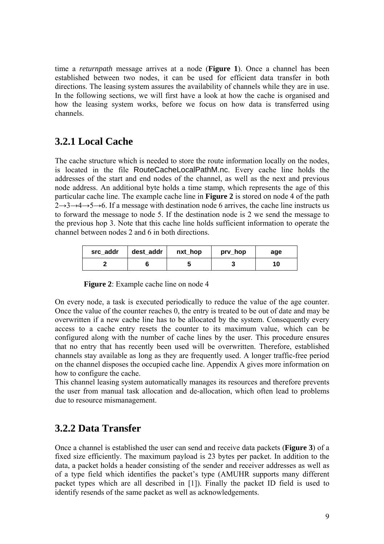time a *returnpath* message arrives at a node (**Figure 1**). Once a channel has been established between two nodes, it can be used for efficient data transfer in both directions. The leasing system assures the availability of channels while they are in use. In the following sections, we will first have a look at how the cache is organised and how the leasing system works, before we focus on how data is transferred using channels.

### **3.2.1 Local Cache**

The cache structure which is needed to store the route information locally on the nodes, is located in the file RouteCacheLocalPathM.nc. Every cache line holds the addresses of the start and end nodes of the channel, as well as the next and previous node address. An additional byte holds a time stamp, which represents the age of this particular cache line. The example cache line in **Figure 2** is stored on node 4 of the path  $2 \rightarrow 3 \rightarrow 4 \rightarrow 5 \rightarrow 6$ . If a message with destination node 6 arrives, the cache line instructs us to forward the message to node 5. If the destination node is 2 we send the message to the previous hop 3. Note that this cache line holds sufficient information to operate the channel between nodes 2 and 6 in both directions.

| src addr | dest addr | nxt_hop | prv_hop | age |
|----------|-----------|---------|---------|-----|
|          |           |         |         |     |

**Figure 2**: Example cache line on node 4

On every node, a task is executed periodically to reduce the value of the age counter. Once the value of the counter reaches 0, the entry is treated to be out of date and may be overwritten if a new cache line has to be allocated by the system. Consequently every access to a cache entry resets the counter to its maximum value, which can be configured along with the number of cache lines by the user. This procedure ensures that no entry that has recently been used will be overwritten. Therefore, established channels stay available as long as they are frequently used. A longer traffic-free period on the channel disposes the occupied cache line. Appendix A gives more information on how to configure the cache.

This channel leasing system automatically manages its resources and therefore prevents the user from manual task allocation and de-allocation, which often lead to problems due to resource mismanagement.

### **3.2.2 Data Transfer**

Once a channel is established the user can send and receive data packets (**Figure 3**) of a fixed size efficiently. The maximum payload is 23 bytes per packet. In addition to the data, a packet holds a header consisting of the sender and receiver addresses as well as of a type field which identifies the packet's type (AMUHR supports many different packet types which are all described in [1]). Finally the packet ID field is used to identify resends of the same packet as well as acknowledgements.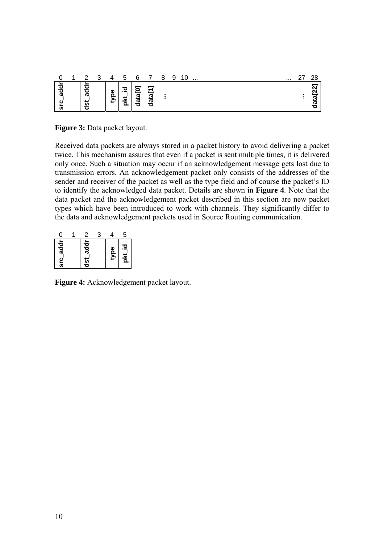|   | റ           | ર | 4           | 5        | 6      | –                | 8 | 9 | 1 ∩<br>ັ | $\sim$ $\sim$ |  |  | $\cdots$ | າຂ |
|---|-------------|---|-------------|----------|--------|------------------|---|---|----------|---------------|--|--|----------|----|
| ω | ന<br>n<br>7 |   | Φ<br>∽<br>₽ | .으<br>s. | w<br>ω | _<br>ω<br>ω<br>ъ |   |   |          |               |  |  |          |    |

**Figure 3:** Data packet layout.

Received data packets are always stored in a packet history to avoid delivering a packet twice. This mechanism assures that even if a packet is sent multiple times, it is delivered only once. Such a situation may occur if an acknowledgement message gets lost due to transmission errors. An acknowledgement packet only consists of the addresses of the sender and receiver of the packet as well as the type field and of course the packet's ID to identify the acknowledged data packet. Details are shown in **Figure 4**. Note that the data packet and the acknowledgement packet described in this section are new packet types which have been introduced to work with channels. They significantly differ to the data and acknowledgement packets used in Source Routing communication.

| Π                 | 2                 |      | 5        |
|-------------------|-------------------|------|----------|
| addr<br><u>င်</u> | addr<br><u>ដូ</u> | type | 으<br>рkt |

**Figure 4:** Acknowledgement packet layout.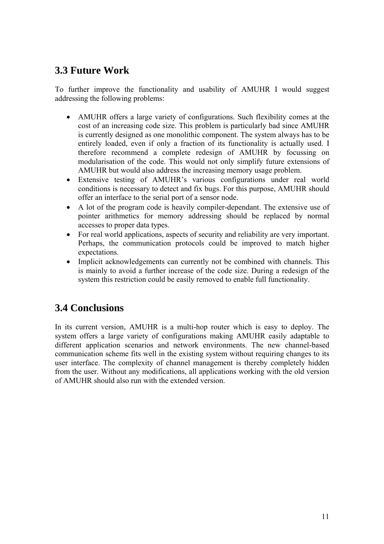### **3.3 Future Work**

To further improve the functionality and usability of AMUHR I would suggest addressing the following problems:

- AMUHR offers a large variety of configurations. Such flexibility comes at the cost of an increasing code size. This problem is particularly bad since AMUHR is currently designed as one monolithic component. The system always has to be entirely loaded, even if only a fraction of its functionality is actually used. I therefore recommend a complete redesign of AMUHR by focussing on modularisation of the code. This would not only simplify future extensions of AMUHR but would also address the increasing memory usage problem.
- Extensive testing of AMUHR's various configurations under real world conditions is necessary to detect and fix bugs. For this purpose, AMUHR should offer an interface to the serial port of a sensor node.
- A lot of the program code is heavily compiler-dependant. The extensive use of pointer arithmetics for memory addressing should be replaced by normal accesses to proper data types.
- For real world applications, aspects of security and reliability are very important. Perhaps, the communication protocols could be improved to match higher expectations.
- Implicit acknowledgements can currently not be combined with channels. This is mainly to avoid a further increase of the code size. During a redesign of the system this restriction could be easily removed to enable full functionality.

## **3.4 Conclusions**

In its current version, AMUHR is a multi-hop router which is easy to deploy. The system offers a large variety of configurations making AMUHR easily adaptable to different application scenarios and network environments. The new channel-based communication scheme fits well in the existing system without requiring changes to its user interface. The complexity of channel management is thereby completely hidden from the user. Without any modifications, all applications working with the old version of AMUHR should also run with the extended version.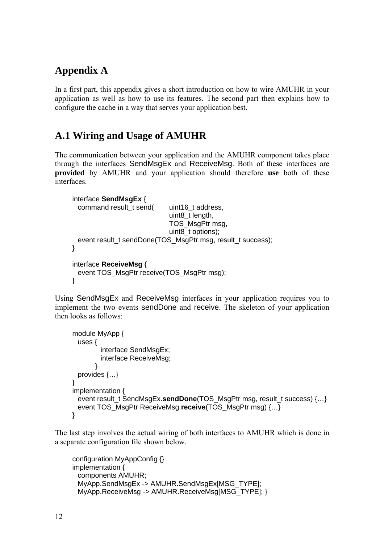## **Appendix A**

In a first part, this appendix gives a short introduction on how to wire AMUHR in your application as well as how to use its features. The second part then explains how to configure the cache in a way that serves your application best.

### **A.1 Wiring and Usage of AMUHR**

The communication between your application and the AMUHR component takes place through the interfaces SendMsgEx and ReceiveMsg. Both of these interfaces are **provided** by AMUHR and your application should therefore **use** both of these interfaces.

```
interface SendMsgEx { 
 command result_t send( uint16_t address,
                             uint8_t length, 
                             TOS_MsgPtr msg, 
                             uint8_t options);
 event result_t sendDone(TOS_MsgPtr msg, result_t success);
} 
interface ReceiveMsg { 
 event TOS_MsgPtr receive(TOS_MsgPtr msg);
}
```
Using SendMsgEx and ReceiveMsg interfaces in your application requires you to implement the two events sendDone and receive. The skeleton of your application then looks as follows:

```
module MyApp { 
  uses { 
        interface SendMsgEx:
         interface ReceiveMsg; 
       } 
 provides {…} 
} 
implementation { 
  event result_t SendMsgEx.sendDone(TOS_MsgPtr msg, result_t success) {…} 
  event TOS_MsgPtr ReceiveMsg.receive(TOS_MsgPtr msg) {…} 
}
```
The last step involves the actual wiring of both interfaces to AMUHR which is done in a separate configuration file shown below.

```
configuration MyAppConfig {} 
implementation { 
  components AMUHR; 
  MyApp.SendMsgEx -> AMUHR.SendMsgEx[MSG_TYPE]; 
 MyApp.ReceiveMsg -> AMUHR.ReceiveMsg[MSG_TYPE]; }
```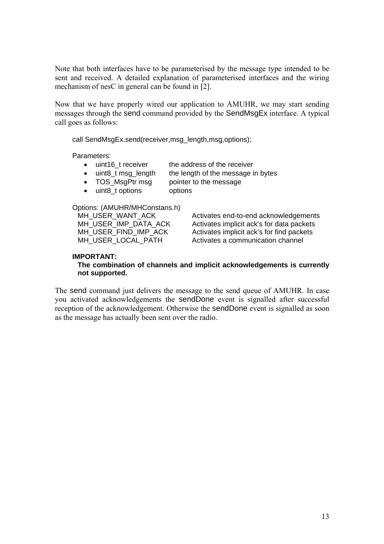Note that both interfaces have to be parameterised by the message type intended to be sent and received. A detailed explanation of parameterised interfaces and the wiring mechanism of nesC in general can be found in [2].

Now that we have properly wired our application to AMUHR, we may start sending messages through the send command provided by the SendMsgEx interface. A typical call goes as follows:

call SendMsgEx.send(receiver.msg\_length.msg.options);

Parameters:

- uint16 t receiver the address of the receiver
- uint8 t msg\_length the length of the message in bytes
- TOS MsgPtr msg pointer to the message
- uint8 t options options

#### Options: (AMUHR/MHConstans.h)

MH\_USER\_WANT\_ACK Activates end-to-end acknowledgements<br>MH\_USER\_IMP\_DATA\_ACK Activates implicit ack's for data packets MH\_USER\_IMP\_DATA\_ACK Activates implicit ack's for data packets<br>MH\_USER\_FIND\_IMP\_ACK Activates implicit ack's for find packets Activates implicit ack's for find packets MH\_USER\_LOCAL\_PATH Activates a communication channel

#### **IMPORTANT:**

#### **The combination of channels and implicit acknowledgements is currently not supported.**

The send command just delivers the message to the send queue of AMUHR. In case you activated acknowledgements the sendDone event is signalled after successful reception of the acknowledgement. Otherwise the sendDone event is signalled as soon as the message has actually been sent over the radio.